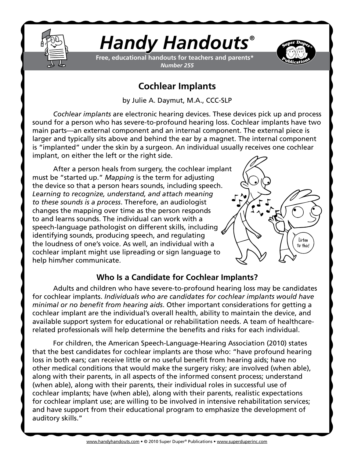

# *Handy Handouts®*

**Free, educational handouts for teachers and parents\*** *Number 255*



## **Cochlear Implants**

by Julie A. Daymut, M.A., CCC-SLP

*Cochlear implants* are electronic hearing devices. These devices pick up and process sound for a person who has severe-to-profound hearing loss. Cochlear implants have two main parts—an external component and an internal component. The external piece is larger and typically sits above and behind the ear by a magnet. The internal component is "implanted" under the skin by a surgeon. An individual usually receives one cochlear implant, on either the left or the right side.

After a person heals from surgery, the cochlear implant must be "started up." *Mapping* is the term for adjusting the device so that a person hears sounds, including speech. *Learning to recognize, understand, and attach meaning to these sounds is a process*. Therefore, an audiologist changes the mapping over time as the person responds to and learns sounds. The individual can work with a speech-language pathologist on different skills, including identifying sounds, producing speech, and regulating the loudness of one's voice. As well, an individual with a cochlear implant might use lipreading or sign language to help him/her communicate.



## **Who Is a Candidate for Cochlear Implants?**

Adults and children who have severe-to-profound hearing loss may be candidates for cochlear implants. *Individuals who are candidates for cochlear implants would have minimal or no benefit from hearing aids*. Other important considerations for getting a cochlear implant are the individual's overall health, ability to maintain the device, and available support system for educational or rehabilitation needs. A team of healthcarerelated professionals will help determine the benefits and risks for each individual.

For children, the American Speech-Language-Hearing Association (2010) states that the best candidates for cochlear implants are those who: "have profound hearing loss in both ears; can receive little or no useful benefit from hearing aids; have no other medical conditions that would make the surgery risky; are involved (when able), along with their parents, in all aspects of the informed consent process; understand (when able), along with their parents, their individual roles in successful use of cochlear implants; have (when able), along with their parents, realistic expectations for cochlear implant use; are willing to be involved in intensive rehabilitation services; and have support from their educational program to emphasize the development of auditory skills."